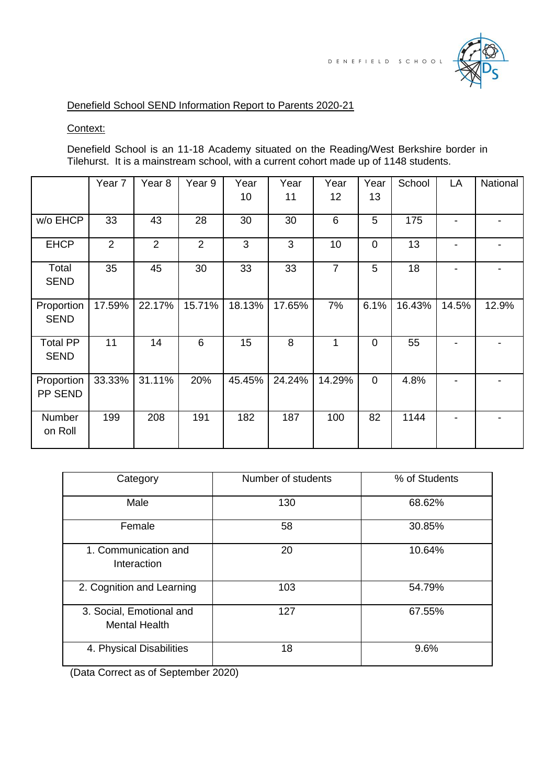

# Denefield School SEND Information Report to Parents 2020-21

Context:

Denefield School is an 11-18 Academy situated on the Reading/West Berkshire border in Tilehurst. It is a mainstream school, with a current cohort made up of 1148 students.

|                                | Year 7         | Year <sub>8</sub> | Year 9         | Year<br>10 | Year<br>11 | Year<br>12     | Year<br>13  | School | LA    | National |
|--------------------------------|----------------|-------------------|----------------|------------|------------|----------------|-------------|--------|-------|----------|
| w/o EHCP                       | 33             | 43                | 28             | 30         | 30         | 6              | 5           | 175    |       |          |
| <b>EHCP</b>                    | $\overline{2}$ | $\overline{2}$    | $\overline{2}$ | 3          | 3          | 10             | $\mathbf 0$ | 13     |       |          |
| Total<br><b>SEND</b>           | 35             | 45                | 30             | 33         | 33         | $\overline{7}$ | 5           | 18     |       |          |
| Proportion<br><b>SEND</b>      | 17.59%         | 22.17%            | 15.71%         | 18.13%     | 17.65%     | 7%             | 6.1%        | 16.43% | 14.5% | 12.9%    |
| <b>Total PP</b><br><b>SEND</b> | 11             | 14                | 6              | 15         | 8          | 1              | $\mathbf 0$ | 55     |       |          |
| Proportion<br>PP SEND          | 33.33%         | 31.11%            | 20%            | 45.45%     | 24.24%     | 14.29%         | $\mathbf 0$ | 4.8%   |       |          |
| Number<br>on Roll              | 199            | 208               | 191            | 182        | 187        | 100            | 82          | 1144   |       |          |

| Category                                         | Number of students | % of Students |
|--------------------------------------------------|--------------------|---------------|
| Male                                             | 130                | 68.62%        |
| Female                                           | 58                 | 30.85%        |
| 1. Communication and<br>Interaction              | 20                 | 10.64%        |
| 2. Cognition and Learning                        | 103                | 54.79%        |
| 3. Social, Emotional and<br><b>Mental Health</b> | 127                | 67.55%        |
| 4. Physical Disabilities                         | 18                 | 9.6%          |

(Data Correct as of September 2020)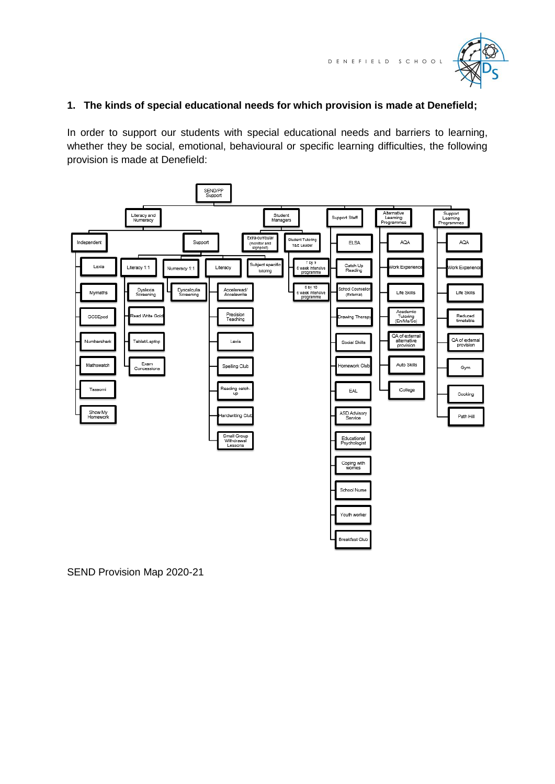

## **1. The kinds of special educational needs for which provision is made at Denefield;**

In order to support our students with special educational needs and barriers to learning, whether they be social, emotional, behavioural or specific learning difficulties, the following provision is made at Denefield:



SEND Provision Map 2020-21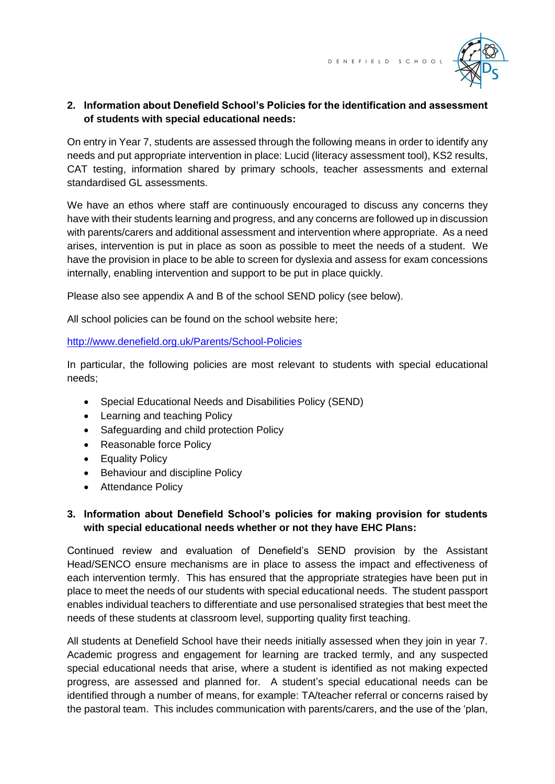

# **2. Information about Denefield School's Policies for the identification and assessment of students with special educational needs:**

On entry in Year 7, students are assessed through the following means in order to identify any needs and put appropriate intervention in place: Lucid (literacy assessment tool), KS2 results, CAT testing, information shared by primary schools, teacher assessments and external standardised GL assessments.

We have an ethos where staff are continuously encouraged to discuss any concerns they have with their students learning and progress, and any concerns are followed up in discussion with parents/carers and additional assessment and intervention where appropriate. As a need arises, intervention is put in place as soon as possible to meet the needs of a student. We have the provision in place to be able to screen for dyslexia and assess for exam concessions internally, enabling intervention and support to be put in place quickly.

Please also see appendix A and B of the school SEND policy (see below).

All school policies can be found on the school website here;

#### <http://www.denefield.org.uk/Parents/School-Policies>

In particular, the following policies are most relevant to students with special educational needs;

- Special Educational Needs and Disabilities Policy (SEND)
- Learning and teaching Policy
- Safeguarding and child protection Policy
- Reasonable force Policy
- Equality Policy
- Behaviour and discipline Policy
- Attendance Policy

## **3. Information about Denefield School's policies for making provision for students with special educational needs whether or not they have EHC Plans:**

Continued review and evaluation of Denefield's SEND provision by the Assistant Head/SENCO ensure mechanisms are in place to assess the impact and effectiveness of each intervention termly. This has ensured that the appropriate strategies have been put in place to meet the needs of our students with special educational needs. The student passport enables individual teachers to differentiate and use personalised strategies that best meet the needs of these students at classroom level, supporting quality first teaching.

All students at Denefield School have their needs initially assessed when they join in year 7. Academic progress and engagement for learning are tracked termly, and any suspected special educational needs that arise, where a student is identified as not making expected progress, are assessed and planned for. A student's special educational needs can be identified through a number of means, for example: TA/teacher referral or concerns raised by the pastoral team. This includes communication with parents/carers, and the use of the 'plan,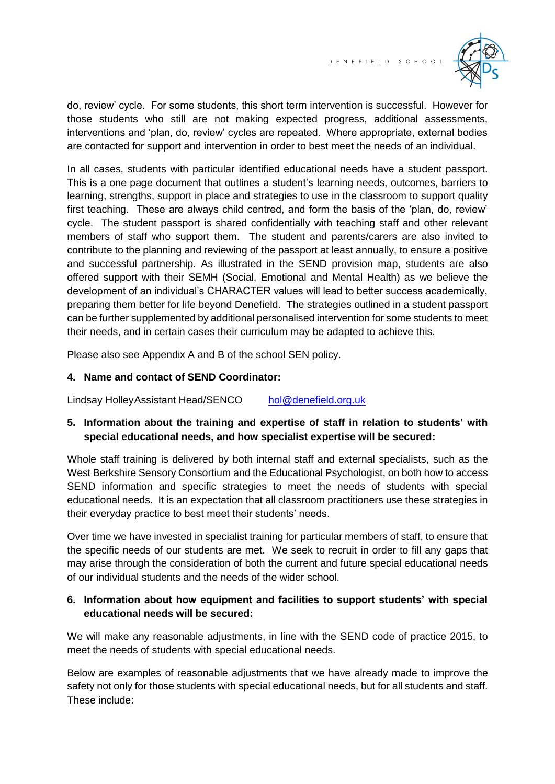

do, review' cycle. For some students, this short term intervention is successful. However for those students who still are not making expected progress, additional assessments, interventions and 'plan, do, review' cycles are repeated. Where appropriate, external bodies are contacted for support and intervention in order to best meet the needs of an individual.

In all cases, students with particular identified educational needs have a student passport. This is a one page document that outlines a student's learning needs, outcomes, barriers to learning, strengths, support in place and strategies to use in the classroom to support quality first teaching. These are always child centred, and form the basis of the 'plan, do, review' cycle. The student passport is shared confidentially with teaching staff and other relevant members of staff who support them. The student and parents/carers are also invited to contribute to the planning and reviewing of the passport at least annually, to ensure a positive and successful partnership. As illustrated in the SEND provision map, students are also offered support with their SEMH (Social, Emotional and Mental Health) as we believe the development of an individual's CHARACTER values will lead to better success academically, preparing them better for life beyond Denefield. The strategies outlined in a student passport can be further supplemented by additional personalised intervention for some students to meet their needs, and in certain cases their curriculum may be adapted to achieve this.

Please also see Appendix A and B of the school SEN policy.

## **4. Name and contact of SEND Coordinator:**

Lindsay HolleyAssistant Head/SENCO [hol@denefield.org.uk](mailto:hol@denefield.org.uk)

## **5. Information about the training and expertise of staff in relation to students' with special educational needs, and how specialist expertise will be secured:**

Whole staff training is delivered by both internal staff and external specialists, such as the West Berkshire Sensory Consortium and the Educational Psychologist, on both how to access SEND information and specific strategies to meet the needs of students with special educational needs. It is an expectation that all classroom practitioners use these strategies in their everyday practice to best meet their students' needs.

Over time we have invested in specialist training for particular members of staff, to ensure that the specific needs of our students are met. We seek to recruit in order to fill any gaps that may arise through the consideration of both the current and future special educational needs of our individual students and the needs of the wider school.

# **6. Information about how equipment and facilities to support students' with special educational needs will be secured:**

We will make any reasonable adjustments, in line with the SEND code of practice 2015, to meet the needs of students with special educational needs.

Below are examples of reasonable adjustments that we have already made to improve the safety not only for those students with special educational needs, but for all students and staff. These include: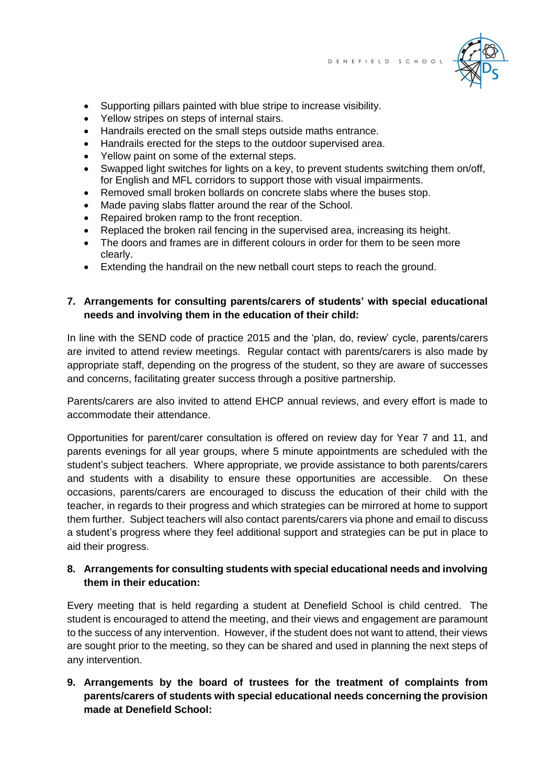

- Supporting pillars painted with blue stripe to increase visibility.
- Yellow stripes on steps of internal stairs.
- Handrails erected on the small steps outside maths entrance.
- Handrails erected for the steps to the outdoor supervised area.
- Yellow paint on some of the external steps.
- Swapped light switches for lights on a key, to prevent students switching them on/off, for English and MFL corridors to support those with visual impairments.
- Removed small broken bollards on concrete slabs where the buses stop.
- Made paving slabs flatter around the rear of the School.
- Repaired broken ramp to the front reception.
- Replaced the broken rail fencing in the supervised area, increasing its height.
- The doors and frames are in different colours in order for them to be seen more clearly.
- Extending the handrail on the new netball court steps to reach the ground.

#### **7. Arrangements for consulting parents/carers of students' with special educational needs and involving them in the education of their child:**

In line with the SEND code of practice 2015 and the 'plan, do, review' cycle, parents/carers are invited to attend review meetings. Regular contact with parents/carers is also made by appropriate staff, depending on the progress of the student, so they are aware of successes and concerns, facilitating greater success through a positive partnership.

Parents/carers are also invited to attend EHCP annual reviews, and every effort is made to accommodate their attendance.

Opportunities for parent/carer consultation is offered on review day for Year 7 and 11, and parents evenings for all year groups, where 5 minute appointments are scheduled with the student's subject teachers. Where appropriate, we provide assistance to both parents/carers and students with a disability to ensure these opportunities are accessible. On these occasions, parents/carers are encouraged to discuss the education of their child with the teacher, in regards to their progress and which strategies can be mirrored at home to support them further. Subject teachers will also contact parents/carers via phone and email to discuss a student's progress where they feel additional support and strategies can be put in place to aid their progress.

#### **8. Arrangements for consulting students with special educational needs and involving them in their education:**

Every meeting that is held regarding a student at Denefield School is child centred. The student is encouraged to attend the meeting, and their views and engagement are paramount to the success of any intervention. However, if the student does not want to attend, their views are sought prior to the meeting, so they can be shared and used in planning the next steps of any intervention.

# **9. Arrangements by the board of trustees for the treatment of complaints from parents/carers of students with special educational needs concerning the provision made at Denefield School:**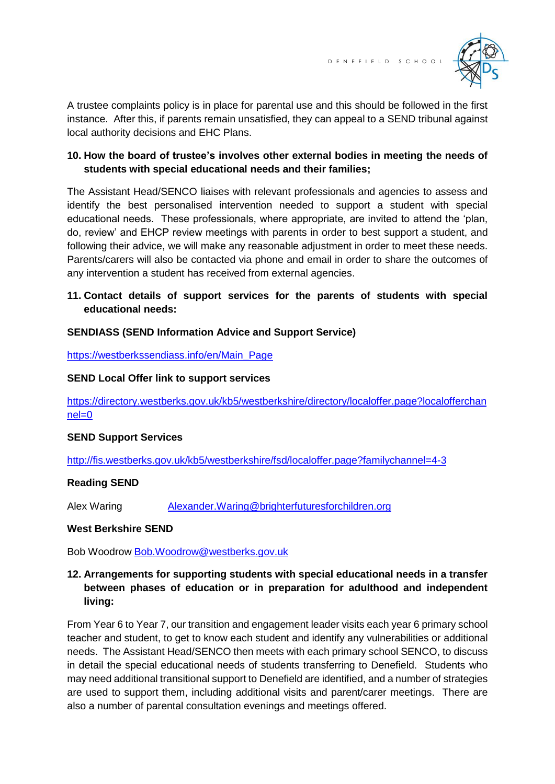

A trustee complaints policy is in place for parental use and this should be followed in the first instance. After this, if parents remain unsatisfied, they can appeal to a SEND tribunal against local authority decisions and EHC Plans.

# **10. How the board of trustee's involves other external bodies in meeting the needs of students with special educational needs and their families;**

The Assistant Head/SENCO liaises with relevant professionals and agencies to assess and identify the best personalised intervention needed to support a student with special educational needs. These professionals, where appropriate, are invited to attend the 'plan, do, review' and EHCP review meetings with parents in order to best support a student, and following their advice, we will make any reasonable adjustment in order to meet these needs. Parents/carers will also be contacted via phone and email in order to share the outcomes of any intervention a student has received from external agencies.

# **11. Contact details of support services for the parents of students with special educational needs:**

## **SENDIASS (SEND Information Advice and Support Service)**

[https://westberkssendiass.info/en/Main\\_Page](https://westberkssendiass.info/en/Main_Page)

## **SEND Local Offer link to support services**

[https://directory.westberks.gov.uk/kb5/westberkshire/directory/localoffer.page?localofferchan](https://directory.westberks.gov.uk/kb5/westberkshire/directory/localoffer.page?localofferchannel=0) [nel=0](https://directory.westberks.gov.uk/kb5/westberkshire/directory/localoffer.page?localofferchannel=0)

#### **SEND Support Services**

<http://fis.westberks.gov.uk/kb5/westberkshire/fsd/localoffer.page?familychannel=4-3>

# **Reading SEND**

Alex Waring [Alexander.Waring@brighterfuturesforchildren.org](mailto:Alexander.Waring@brighterfuturesforchildren.org)

#### **West Berkshire SEND**

Bob Woodrow [Bob.Woodrow@westberks.gov.uk](mailto:Bob.Woodrow@westberks.gov.uk)

## **12. Arrangements for supporting students with special educational needs in a transfer between phases of education or in preparation for adulthood and independent living:**

From Year 6 to Year 7, our transition and engagement leader visits each year 6 primary school teacher and student, to get to know each student and identify any vulnerabilities or additional needs. The Assistant Head/SENCO then meets with each primary school SENCO, to discuss in detail the special educational needs of students transferring to Denefield. Students who may need additional transitional support to Denefield are identified, and a number of strategies are used to support them, including additional visits and parent/carer meetings. There are also a number of parental consultation evenings and meetings offered.